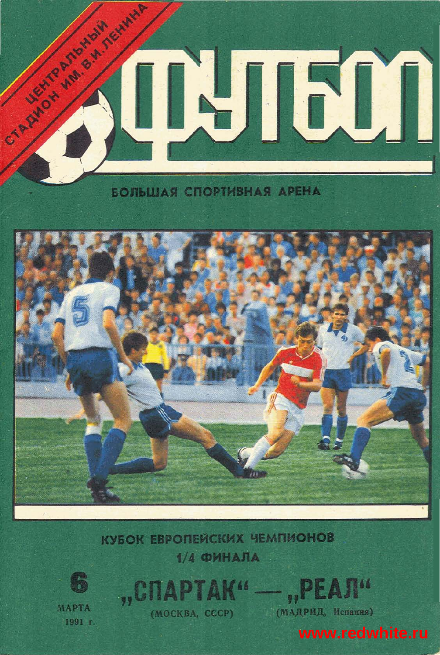

## **ЕОЛЬШАЯ СПОРТИВНАЯ АРЕНА**



**КУБОК ЕВРОПЕЙСКИХ ЧЕМПИОНОВ**  $1/4$  **OMHAJIA** 



MAPTA 1991 г.

**APTAK"** (MOCKBA, CCCP)

(МАДРИД, Испания)

www.redwhite.ru